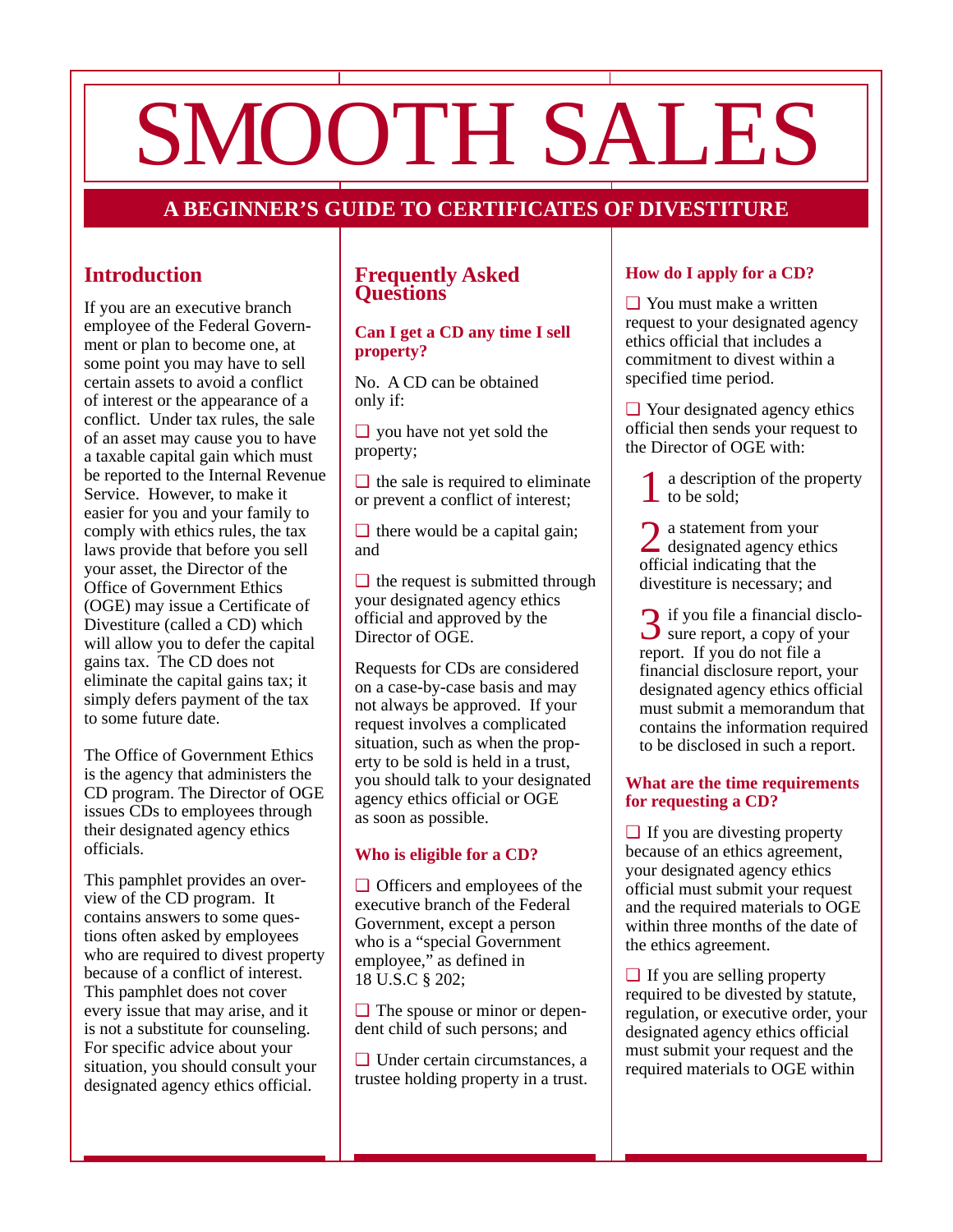# SMOOTH SALES

# **A BEGINNER'S GUIDE TO CERTIFICATES OF DIVESTITURE**

# **Introduction**

If you are an executive branch employee of the Federal Government or plan to become one, at some point you may have to sell certain assets to avoid a conflict of interest or the appearance of a conflict. Under tax rules, the sale of an asset may cause you to have a taxable capital gain which must be reported to the Internal Revenue Service. However, to make it easier for you and your family to comply with ethics rules, the tax laws provide that before you sell your asset, the Director of the Office of Government Ethics (OGE) may issue a Certificate of Divestiture (called a CD) which will allow you to defer the capital gains tax. The CD does not eliminate the capital gains tax; it simply defers payment of the tax to some future date.

The Office of Government Ethics is the agency that administers the CD program. The Director of OGE issues CDs to employees through their designated agency ethics officials.

This pamphlet provides an overview of the CD program. It contains answers to some questions often asked by employees who are required to divest property because of a conflict of interest. This pamphlet does not cover every issue that may arise, and it is not a substitute for counseling. For specific advice about your situation, you should consult your designated agency ethics official.

#### **Frequently Asked Questions**

#### **Can I get a CD any time I sell property?**

No. A CD can be obtained only if:

❏ you have not yet sold the property;

 $\Box$  the sale is required to eliminate or prevent a conflict of interest;

 $\Box$  there would be a capital gain; and

 $\Box$  the request is submitted through your designated agency ethics official and approved by the Director of OGE.

Requests for CDs are considered on a case-by-case basis and may not always be approved. If your request involves a complicated situation, such as when the property to be sold is held in a trust, you should talk to your designated agency ethics official or OGE as soon as possible.

### **Who is eligible for a CD?**

❏ Officers and employees of the executive branch of the Federal Government, except a person who is a "special Government employee," as defined in 18 U.S.C § 202;

❏ The spouse or minor or dependent child of such persons; and

❏ Under certain circumstances, a trustee holding property in a trust.

## **How do I apply for a CD?**

❏ You must make a written request to your designated agency ethics official that includes a commitment to divest within a specified time period.

❏ Your designated agency ethics official then sends your request to the Director of OGE with:

1 a description of the property to be sold;

2 a statement from your designated agency ethics official indicating that the divestiture is necessary; and

3 if you file a financial disclo- sure report, a copy of your report. If you do not file a financial disclosure report, your designated agency ethics official must submit a memorandum that contains the information required to be disclosed in such a report.

#### **What are the time requirements for requesting a CD?**

❏ If you are divesting property because of an ethics agreement, your designated agency ethics official must submit your request and the required materials to OGE within three months of the date of the ethics agreement.

❏ If you are selling property required to be divested by statute, regulation, or executive order, your designated agency ethics official must submit your request and the required materials to OGE within